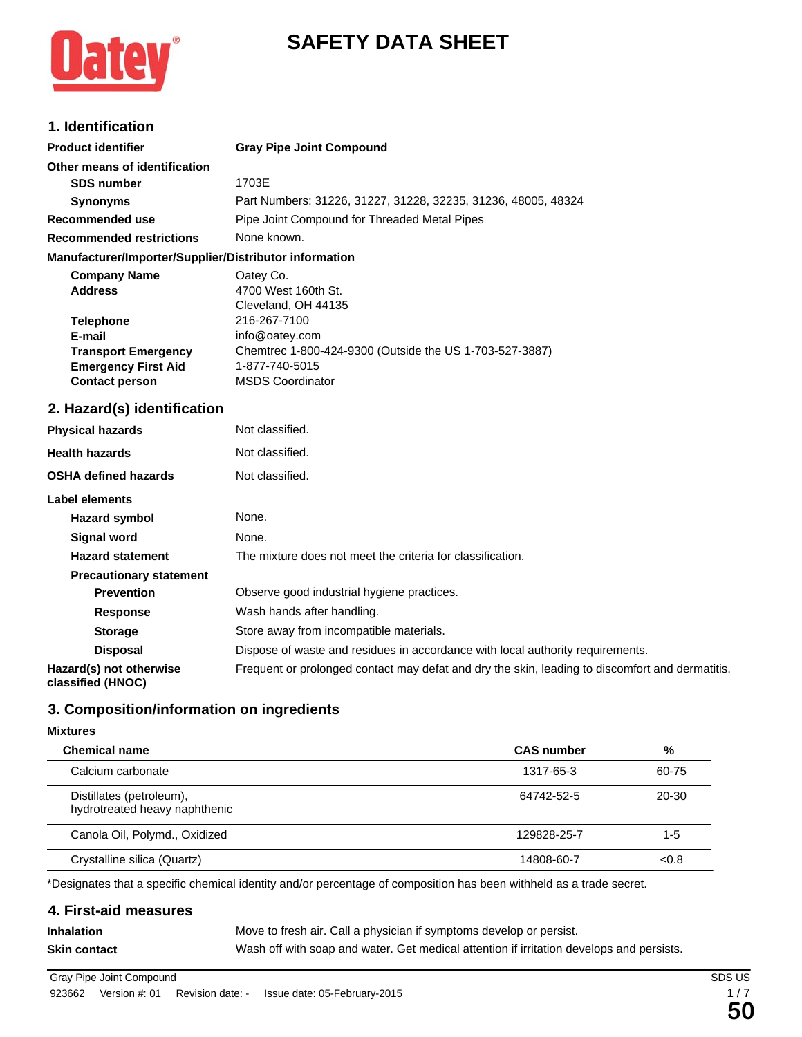



## **1. Identification**

| <b>Product identifier</b>                              | <b>Gray Pipe Joint Compound</b>                               |  |  |
|--------------------------------------------------------|---------------------------------------------------------------|--|--|
| Other means of identification                          |                                                               |  |  |
| <b>SDS number</b>                                      | 1703E                                                         |  |  |
| <b>Synonyms</b>                                        | Part Numbers: 31226, 31227, 31228, 32235, 31236, 48005, 48324 |  |  |
| Recommended use                                        | Pipe Joint Compound for Threaded Metal Pipes                  |  |  |
| <b>Recommended restrictions</b>                        | None known.                                                   |  |  |
| Manufacturer/Importer/Supplier/Distributor information |                                                               |  |  |

| <b>Company Name</b>        | Oatey Co.                                               |
|----------------------------|---------------------------------------------------------|
| <b>Address</b>             | 4700 West 160th St.                                     |
|                            | Cleveland, OH 44135                                     |
| <b>Telephone</b>           | 216-267-7100                                            |
| E-mail                     | info@oatey.com                                          |
| <b>Transport Emergency</b> | Chemtrec 1-800-424-9300 (Outside the US 1-703-527-3887) |
| <b>Emergency First Aid</b> | 1-877-740-5015                                          |
| <b>Contact person</b>      | <b>MSDS Coordinator</b>                                 |

### **2. Hazard(s) identification**

| <b>Physical hazards</b>                      | Not classified.                                                                                 |
|----------------------------------------------|-------------------------------------------------------------------------------------------------|
| <b>Health hazards</b>                        | Not classified.                                                                                 |
| <b>OSHA defined hazards</b>                  | Not classified.                                                                                 |
| Label elements                               |                                                                                                 |
| Hazard symbol                                | None.                                                                                           |
| Signal word                                  | None.                                                                                           |
| <b>Hazard statement</b>                      | The mixture does not meet the criteria for classification.                                      |
| <b>Precautionary statement</b>               |                                                                                                 |
| <b>Prevention</b>                            | Observe good industrial hygiene practices.                                                      |
| <b>Response</b>                              | Wash hands after handling.                                                                      |
| <b>Storage</b>                               | Store away from incompatible materials.                                                         |
| <b>Disposal</b>                              | Dispose of waste and residues in accordance with local authority requirements.                  |
| Hazard(s) not otherwise<br>classified (HNOC) | Frequent or prolonged contact may defat and dry the skin, leading to discomfort and dermatitis. |

# **3. Composition/information on ingredients**

#### **Mixtures**

| <b>Chemical name</b>                                      | <b>CAS</b> number | %       |
|-----------------------------------------------------------|-------------------|---------|
| Calcium carbonate                                         | 1317-65-3         | 60-75   |
| Distillates (petroleum),<br>hydrotreated heavy naphthenic | 64742-52-5        | 20-30   |
| Canola Oil, Polymd., Oxidized                             | 129828-25-7       | $1 - 5$ |
| Crystalline silica (Quartz)                               | 14808-60-7        | < 0.8   |

\*Designates that a specific chemical identity and/or percentage of composition has been withheld as a trade secret.

### **4. First-aid measures**

**Inhalation** Move to fresh air. Call a physician if symptoms develop or persist. **Skin contact** Wash off with soap and water. Get medical attention if irritation develops and persists.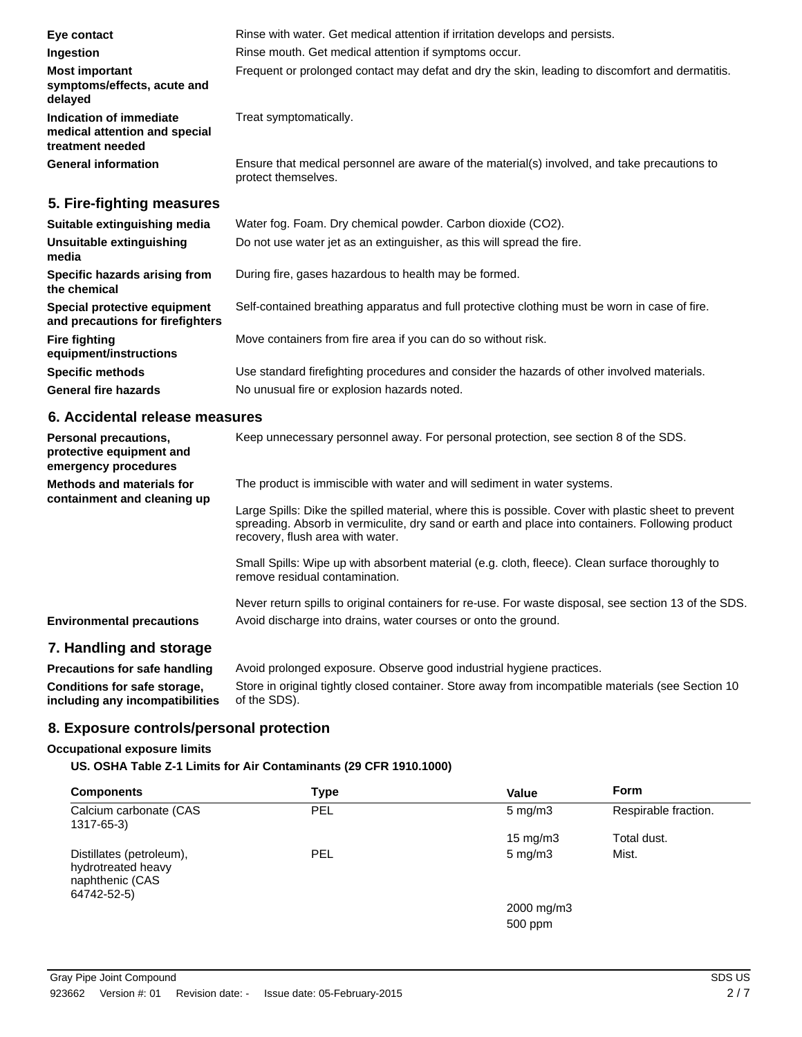| Eye contact                                                                  | Rinse with water. Get medical attention if irritation develops and persists.                                        |  |  |
|------------------------------------------------------------------------------|---------------------------------------------------------------------------------------------------------------------|--|--|
| Ingestion                                                                    | Rinse mouth. Get medical attention if symptoms occur.                                                               |  |  |
| <b>Most important</b><br>symptoms/effects, acute and<br>delayed              | Frequent or prolonged contact may defat and dry the skin, leading to discomfort and dermatitis.                     |  |  |
| Indication of immediate<br>medical attention and special<br>treatment needed | Treat symptomatically.                                                                                              |  |  |
| <b>General information</b>                                                   | Ensure that medical personnel are aware of the material(s) involved, and take precautions to<br>protect themselves. |  |  |
| 5. Fire-fighting measures                                                    |                                                                                                                     |  |  |
| Suitable extinguishing media                                                 | Water fog. Foam. Dry chemical powder. Carbon dioxide (CO2).                                                         |  |  |
| Unsuitable extinguishing<br>media                                            | Do not use water jet as an extinguisher, as this will spread the fire.                                              |  |  |
| Specific hazards arising from<br>the chemical                                | During fire, gases hazardous to health may be formed.                                                               |  |  |

**Special protective equipment and precautions for firefighters** Self-contained breathing apparatus and full protective clothing must be worn in case of fire.

Move containers from fire area if you can do so without risk.

**Specific methods** Use standard firefighting procedures and consider the hazards of other involved materials. General fire hazards **No unusual fire or explosion hazards noted.** 

### **6. Accidental release measures**

**Fire fighting**

**equipment/instructions**

| <b>Personal precautions,</b><br>protective equipment and<br>emergency procedures | Keep unnecessary personnel away. For personal protection, see section 8 of the SDS.                                                                                                                                                                                                                                                                                                                                                                           |
|----------------------------------------------------------------------------------|---------------------------------------------------------------------------------------------------------------------------------------------------------------------------------------------------------------------------------------------------------------------------------------------------------------------------------------------------------------------------------------------------------------------------------------------------------------|
| <b>Methods and materials for</b><br>containment and cleaning up                  | The product is immiscible with water and will sediment in water systems.<br>Large Spills: Dike the spilled material, where this is possible. Cover with plastic sheet to prevent<br>spreading. Absorb in vermiculite, dry sand or earth and place into containers. Following product<br>recovery, flush area with water.<br>Small Spills: Wipe up with absorbent material (e.g. cloth, fleece). Clean surface thoroughly to<br>remove residual contamination. |
| <b>Environmental precautions</b>                                                 | Never return spills to original containers for re-use. For waste disposal, see section 13 of the SDS.<br>Avoid discharge into drains, water courses or onto the ground.                                                                                                                                                                                                                                                                                       |

## **7. Handling and storage**

| <b>Precautions for safe handling</b> | Avoid prolonged exposure. Observe good industrial hygiene practices.                               |
|--------------------------------------|----------------------------------------------------------------------------------------------------|
| Conditions for safe storage,         | Store in original tightly closed container. Store away from incompatible materials (see Section 10 |
| including any incompatibilities      | of the SDS).                                                                                       |

### **8. Exposure controls/personal protection**

#### **Occupational exposure limits**

**US. OSHA Table Z-1 Limits for Air Contaminants (29 CFR 1910.1000)**

| <b>Components</b>                                                                | Type       | Value             | <b>Form</b>          |
|----------------------------------------------------------------------------------|------------|-------------------|----------------------|
| Calcium carbonate (CAS<br>1317-65-3)                                             | <b>PEL</b> | $5 \text{ mg/m}$  | Respirable fraction. |
|                                                                                  |            | $15 \text{ mg/m}$ | Total dust.          |
| Distillates (petroleum),<br>hydrotreated heavy<br>naphthenic (CAS<br>64742-52-5) | <b>PEL</b> | $5$ mg/m $3$      | Mist.                |
|                                                                                  |            | 2000 mg/m3        |                      |
|                                                                                  |            | 500 ppm           |                      |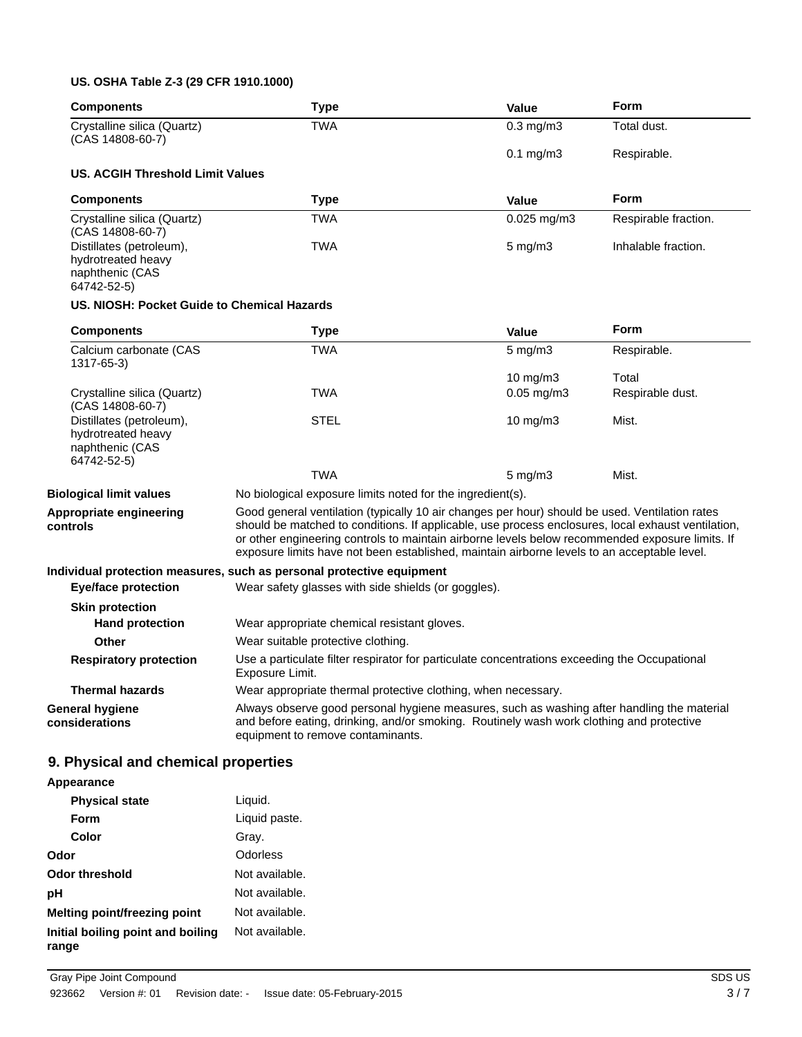### **US. OSHA Table Z-3 (29 CFR 1910.1000)**

| <b>Components</b>                                                                                   | <b>Type</b>                                                                                                                                                                                                                                                                                                                                                                                            | Value                 | <b>Form</b>          |
|-----------------------------------------------------------------------------------------------------|--------------------------------------------------------------------------------------------------------------------------------------------------------------------------------------------------------------------------------------------------------------------------------------------------------------------------------------------------------------------------------------------------------|-----------------------|----------------------|
| Crystalline silica (Quartz)<br>(CAS 14808-60-7)                                                     | <b>TWA</b>                                                                                                                                                                                                                                                                                                                                                                                             | $0.3$ mg/m $3$        | Total dust.          |
|                                                                                                     |                                                                                                                                                                                                                                                                                                                                                                                                        | $0.1$ mg/m $3$        | Respirable.          |
| US. ACGIH Threshold Limit Values                                                                    |                                                                                                                                                                                                                                                                                                                                                                                                        |                       |                      |
| <b>Components</b>                                                                                   | <b>Type</b>                                                                                                                                                                                                                                                                                                                                                                                            | Value                 | <b>Form</b>          |
| Crystalline silica (Quartz)<br>(CAS 14808-60-7)                                                     | <b>TWA</b>                                                                                                                                                                                                                                                                                                                                                                                             | $0.025$ mg/m3         | Respirable fraction. |
| Distillates (petroleum),<br>hydrotreated heavy<br>naphthenic (CAS<br>64742-52-5)                    | TWA                                                                                                                                                                                                                                                                                                                                                                                                    | $5$ mg/m $3$          | Inhalable fraction.  |
| US. NIOSH: Pocket Guide to Chemical Hazards                                                         |                                                                                                                                                                                                                                                                                                                                                                                                        |                       |                      |
| <b>Components</b>                                                                                   | <b>Type</b>                                                                                                                                                                                                                                                                                                                                                                                            | <b>Value</b>          | <b>Form</b>          |
| Calcium carbonate (CAS<br>1317-65-3)                                                                | <b>TWA</b>                                                                                                                                                                                                                                                                                                                                                                                             | $5 \text{ mg/m}$      | Respirable.          |
|                                                                                                     |                                                                                                                                                                                                                                                                                                                                                                                                        | 10 mg/m3              | Total                |
| Crystalline silica (Quartz)<br>(CAS 14808-60-7)                                                     | <b>TWA</b>                                                                                                                                                                                                                                                                                                                                                                                             | $0.05 \text{ mg/m}$ 3 | Respirable dust.     |
| Distillates (petroleum),<br>hydrotreated heavy<br>naphthenic (CAS<br>64742-52-5)                    | <b>STEL</b>                                                                                                                                                                                                                                                                                                                                                                                            | 10 $mg/m3$            | Mist.                |
|                                                                                                     | <b>TWA</b>                                                                                                                                                                                                                                                                                                                                                                                             | $5 \text{ mg/m}$      | Mist.                |
| <b>Biological limit values</b>                                                                      | No biological exposure limits noted for the ingredient(s).                                                                                                                                                                                                                                                                                                                                             |                       |                      |
| Appropriate engineering<br>controls                                                                 | Good general ventilation (typically 10 air changes per hour) should be used. Ventilation rates<br>should be matched to conditions. If applicable, use process enclosures, local exhaust ventilation,<br>or other engineering controls to maintain airborne levels below recommended exposure limits. If<br>exposure limits have not been established, maintain airborne levels to an acceptable level. |                       |                      |
|                                                                                                     | Individual protection measures, such as personal protective equipment                                                                                                                                                                                                                                                                                                                                  |                       |                      |
| <b>Eye/face protection</b>                                                                          | Wear safety glasses with side shields (or goggles).                                                                                                                                                                                                                                                                                                                                                    |                       |                      |
| <b>Skin protection</b>                                                                              |                                                                                                                                                                                                                                                                                                                                                                                                        |                       |                      |
| <b>Hand protection</b>                                                                              | Wear appropriate chemical resistant gloves.                                                                                                                                                                                                                                                                                                                                                            |                       |                      |
| <b>Other</b>                                                                                        | Wear suitable protective clothing.                                                                                                                                                                                                                                                                                                                                                                     |                       |                      |
| <b>Respiratory protection</b>                                                                       | Use a particulate filter respirator for particulate concentrations exceeding the Occupational<br>Exposure Limit.                                                                                                                                                                                                                                                                                       |                       |                      |
| <b>Thermal hazards</b>                                                                              | Wear appropriate thermal protective clothing, when necessary.                                                                                                                                                                                                                                                                                                                                          |                       |                      |
| <b>General hygiene</b><br>considerations                                                            | Always observe good personal hygiene measures, such as washing after handling the material<br>and before eating, drinking, and/or smoking. Routinely wash work clothing and protective<br>equipment to remove contaminants.                                                                                                                                                                            |                       |                      |
| 9. Physical and chemical properties                                                                 |                                                                                                                                                                                                                                                                                                                                                                                                        |                       |                      |
| Appearance                                                                                          |                                                                                                                                                                                                                                                                                                                                                                                                        |                       |                      |
| $Dh$ $Lh$ $Lh$ $Lh$ $Lh$ $Lh$ $Lh$ $Lh$ $Lh$ $Lh$ $Lh$ $Lh$ $Lh$ $Lh$ $Lh$ $Lh$ $Lh$ $Lh$ $Lh$ $Lh$ | المنسمنا                                                                                                                                                                                                                                                                                                                                                                                               |                       |                      |

| <b>Physical state</b>                      | Liquid.        |
|--------------------------------------------|----------------|
| Form                                       | Liquid paste.  |
| Color                                      | Gray.          |
| Odor                                       | Odorless       |
| Odor threshold                             | Not available. |
| рH                                         | Not available. |
| Melting point/freezing point               | Not available. |
| Initial boiling point and boiling<br>range | Not available. |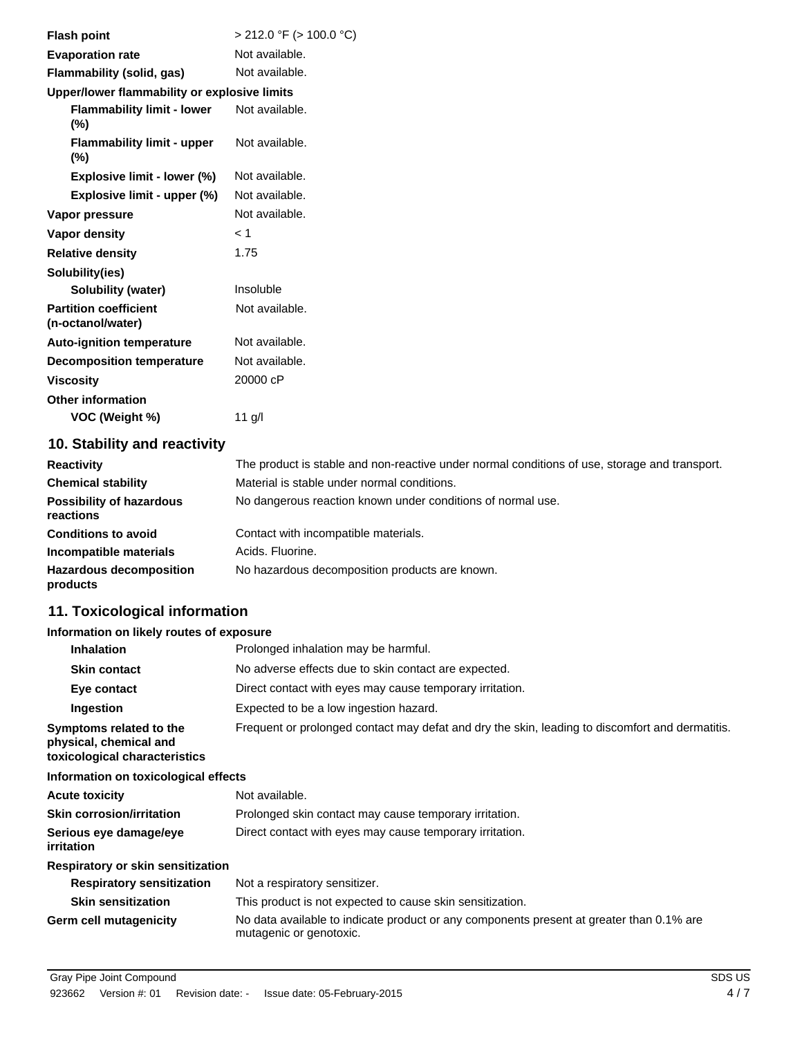| <b>Flash point</b>                                | $>$ 212.0 °F ( $>$ 100.0 °C) |
|---------------------------------------------------|------------------------------|
| <b>Evaporation rate</b>                           | Not available.               |
| <b>Flammability (solid, gas)</b>                  | Not available.               |
| Upper/lower flammability or explosive limits      |                              |
| <b>Flammability limit - lower</b><br>$(\%)$       | Not available.               |
| <b>Flammability limit - upper</b><br>$(\%)$       | Not available.               |
| Explosive limit - lower (%)                       | Not available.               |
| Explosive limit - upper (%)                       | Not available.               |
| Vapor pressure                                    | Not available.               |
| Vapor density                                     | < 1                          |
| <b>Relative density</b>                           | 1.75                         |
| Solubility(ies)                                   |                              |
| <b>Solubility (water)</b>                         | Insoluble                    |
| <b>Partition coefficient</b><br>(n-octanol/water) | Not available.               |
| <b>Auto-ignition temperature</b>                  | Not available.               |
| <b>Decomposition temperature</b>                  | Not available.               |
| <b>Viscosity</b>                                  | 20000 cP                     |
| <b>Other information</b>                          |                              |
| VOC (Weight %)                                    | $11$ g/l                     |
| 10 Stability and reactivity                       |                              |

### **10. Stability and reactivity**

| <b>Reactivity</b>                            | The product is stable and non-reactive under normal conditions of use, storage and transport. |
|----------------------------------------------|-----------------------------------------------------------------------------------------------|
| <b>Chemical stability</b>                    | Material is stable under normal conditions.                                                   |
| <b>Possibility of hazardous</b><br>reactions | No dangerous reaction known under conditions of normal use.                                   |
| <b>Conditions to avoid</b>                   | Contact with incompatible materials.                                                          |
| Incompatible materials                       | Acids, Fluorine.                                                                              |
| <b>Hazardous decomposition</b><br>products   | No hazardous decomposition products are known.                                                |

# **11. Toxicological information**

## **Information on likely routes of exposure**

| <b>Inhalation</b>                                                                  | Prolonged inhalation may be harmful.                                                                                |
|------------------------------------------------------------------------------------|---------------------------------------------------------------------------------------------------------------------|
| <b>Skin contact</b>                                                                | No adverse effects due to skin contact are expected.                                                                |
| Eye contact                                                                        | Direct contact with eyes may cause temporary irritation.                                                            |
| Ingestion                                                                          | Expected to be a low ingestion hazard.                                                                              |
| Symptoms related to the<br>physical, chemical and<br>toxicological characteristics | Frequent or prolonged contact may defat and dry the skin, leading to discomfort and dermatitis.                     |
| Information on toxicological effects                                               |                                                                                                                     |
| <b>Acute toxicity</b>                                                              | Not available.                                                                                                      |
| <b>Skin corrosion/irritation</b>                                                   | Prolonged skin contact may cause temporary irritation.                                                              |
| Serious eye damage/eye<br>irritation                                               | Direct contact with eyes may cause temporary irritation.                                                            |
| Respiratory or skin sensitization                                                  |                                                                                                                     |
| <b>Respiratory sensitization</b>                                                   | Not a respiratory sensitizer.                                                                                       |
| <b>Skin sensitization</b>                                                          | This product is not expected to cause skin sensitization.                                                           |
| <b>Germ cell mutagenicity</b>                                                      | No data available to indicate product or any components present at greater than 0.1% are<br>mutagenic or genotoxic. |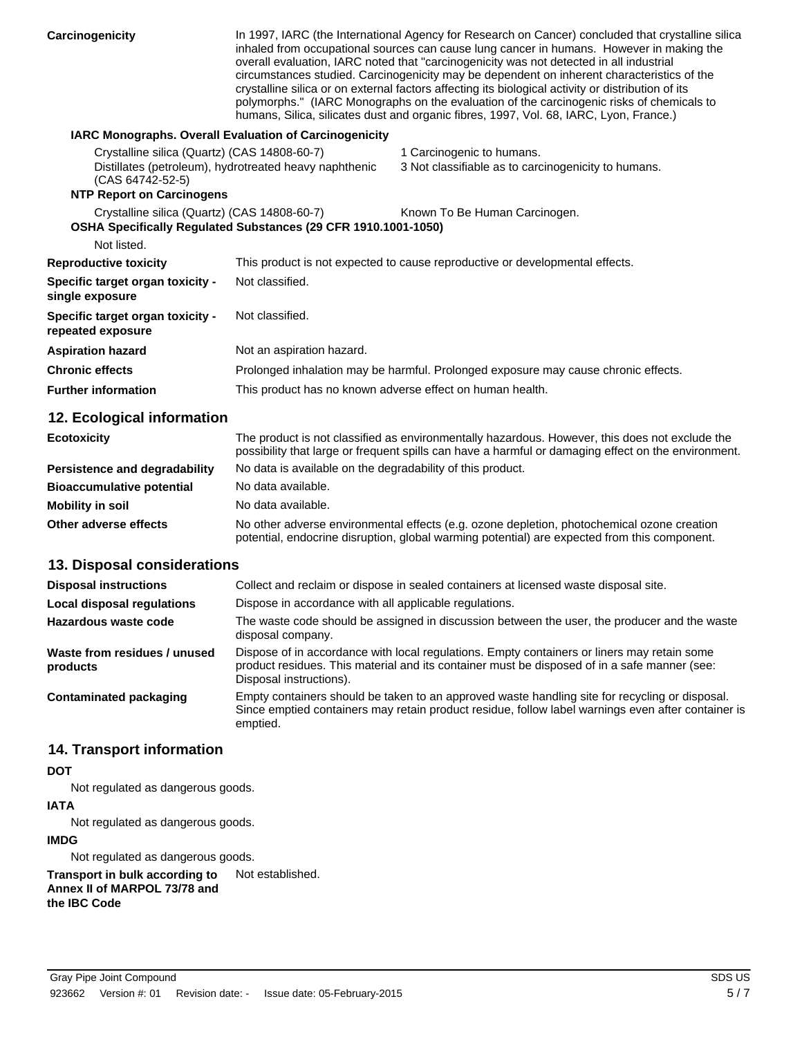| Carcinogenicity                                                                                      |                                                                | In 1997, IARC (the International Agency for Research on Cancer) concluded that crystalline silica<br>inhaled from occupational sources can cause lung cancer in humans. However in making the<br>overall evaluation, IARC noted that "carcinogenicity was not detected in all industrial<br>circumstances studied. Carcinogenicity may be dependent on inherent characteristics of the<br>crystalline silica or on external factors affecting its biological activity or distribution of its<br>polymorphs." (IARC Monographs on the evaluation of the carcinogenic risks of chemicals to<br>humans, Silica, silicates dust and organic fibres, 1997, Vol. 68, IARC, Lyon, France.) |
|------------------------------------------------------------------------------------------------------|----------------------------------------------------------------|-------------------------------------------------------------------------------------------------------------------------------------------------------------------------------------------------------------------------------------------------------------------------------------------------------------------------------------------------------------------------------------------------------------------------------------------------------------------------------------------------------------------------------------------------------------------------------------------------------------------------------------------------------------------------------------|
|                                                                                                      | <b>IARC Monographs. Overall Evaluation of Carcinogenicity</b>  |                                                                                                                                                                                                                                                                                                                                                                                                                                                                                                                                                                                                                                                                                     |
| Crystalline silica (Quartz) (CAS 14808-60-7)<br>(CAS 64742-52-5)<br><b>NTP Report on Carcinogens</b> | Distillates (petroleum), hydrotreated heavy naphthenic         | 1 Carcinogenic to humans.<br>3 Not classifiable as to carcinogenicity to humans.                                                                                                                                                                                                                                                                                                                                                                                                                                                                                                                                                                                                    |
| Crystalline silica (Quartz) (CAS 14808-60-7)<br>Not listed.                                          | OSHA Specifically Regulated Substances (29 CFR 1910.1001-1050) | Known To Be Human Carcinogen.                                                                                                                                                                                                                                                                                                                                                                                                                                                                                                                                                                                                                                                       |
| <b>Reproductive toxicity</b>                                                                         |                                                                | This product is not expected to cause reproductive or developmental effects.                                                                                                                                                                                                                                                                                                                                                                                                                                                                                                                                                                                                        |
| Specific target organ toxicity -<br>single exposure                                                  | Not classified.                                                |                                                                                                                                                                                                                                                                                                                                                                                                                                                                                                                                                                                                                                                                                     |
| Specific target organ toxicity -<br>repeated exposure                                                | Not classified.                                                |                                                                                                                                                                                                                                                                                                                                                                                                                                                                                                                                                                                                                                                                                     |
| <b>Aspiration hazard</b>                                                                             | Not an aspiration hazard.                                      |                                                                                                                                                                                                                                                                                                                                                                                                                                                                                                                                                                                                                                                                                     |
| <b>Chronic effects</b>                                                                               |                                                                | Prolonged inhalation may be harmful. Prolonged exposure may cause chronic effects.                                                                                                                                                                                                                                                                                                                                                                                                                                                                                                                                                                                                  |
| <b>Further information</b>                                                                           | This product has no known adverse effect on human health.      |                                                                                                                                                                                                                                                                                                                                                                                                                                                                                                                                                                                                                                                                                     |
| 12. Ecological information                                                                           |                                                                |                                                                                                                                                                                                                                                                                                                                                                                                                                                                                                                                                                                                                                                                                     |
| <b>Ecotovicity</b>                                                                                   |                                                                | The product is not classified as environmentally hazardous. However, this does not exclude the                                                                                                                                                                                                                                                                                                                                                                                                                                                                                                                                                                                      |

| $-0000000000$                    | possibility that large or frequent spills can have a harmful or damaging effect on the environment.                                                                                        |
|----------------------------------|--------------------------------------------------------------------------------------------------------------------------------------------------------------------------------------------|
| Persistence and degradability    | No data is available on the degradability of this product.                                                                                                                                 |
| <b>Bioaccumulative potential</b> | No data available.                                                                                                                                                                         |
| <b>Mobility in soil</b>          | No data available.                                                                                                                                                                         |
| Other adverse effects            | No other adverse environmental effects (e.g. ozone depletion, photochemical ozone creation<br>potential, endocrine disruption, global warming potential) are expected from this component. |

# **13. Disposal considerations**

| <b>Disposal instructions</b>             | Collect and reclaim or dispose in sealed containers at licensed waste disposal site.                                                                                                                                   |
|------------------------------------------|------------------------------------------------------------------------------------------------------------------------------------------------------------------------------------------------------------------------|
| <b>Local disposal regulations</b>        | Dispose in accordance with all applicable regulations.                                                                                                                                                                 |
| Hazardous waste code                     | The waste code should be assigned in discussion between the user, the producer and the waste<br>disposal company.                                                                                                      |
| Waste from residues / unused<br>products | Dispose of in accordance with local regulations. Empty containers or liners may retain some<br>product residues. This material and its container must be disposed of in a safe manner (see:<br>Disposal instructions). |
| <b>Contaminated packaging</b>            | Empty containers should be taken to an approved waste handling site for recycling or disposal.<br>Since emptied containers may retain product residue, follow label warnings even after container is<br>emptied.       |

## **14. Transport information**

#### **DOT**

Not regulated as dangerous goods.

#### **IATA**

Not regulated as dangerous goods.

#### **IMDG**

Not regulated as dangerous goods.

**Transport in bulk according to** Not established. **Annex II of MARPOL 73/78 and the IBC Code**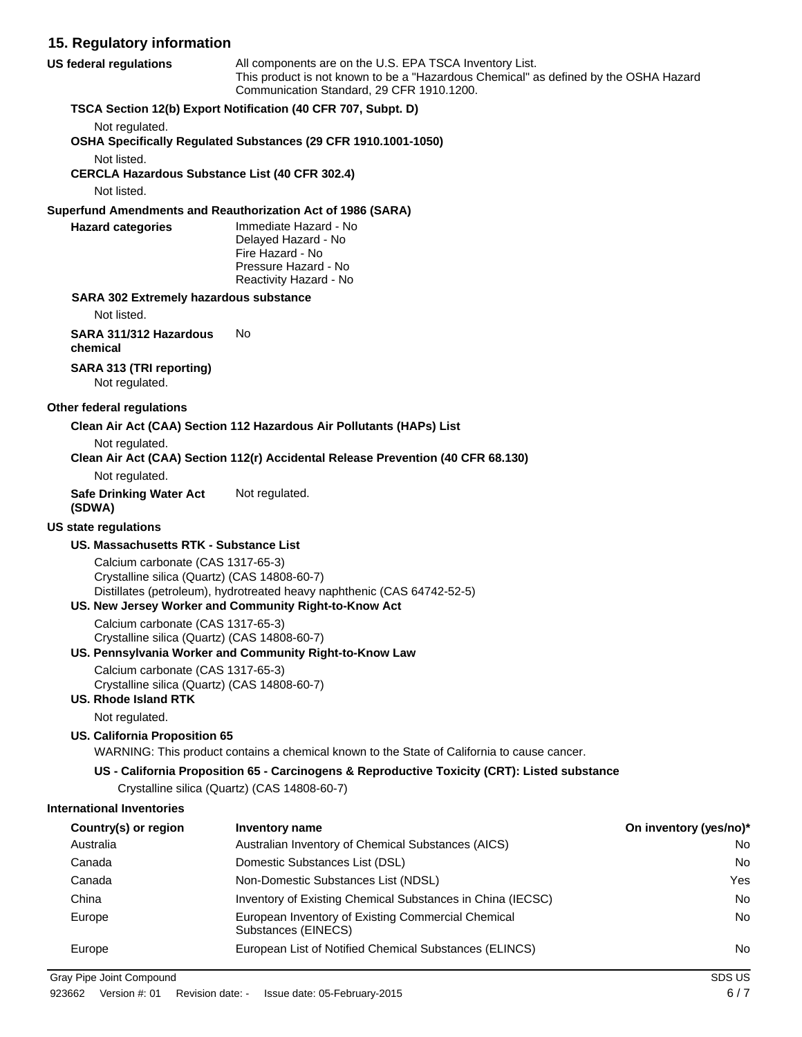# **15. Regulatory information**

| 10. Regulatory information                                                                                       |                                                                                                                                                                                              |                        |
|------------------------------------------------------------------------------------------------------------------|----------------------------------------------------------------------------------------------------------------------------------------------------------------------------------------------|------------------------|
| <b>US federal regulations</b>                                                                                    | All components are on the U.S. EPA TSCA Inventory List.<br>This product is not known to be a "Hazardous Chemical" as defined by the OSHA Hazard<br>Communication Standard, 29 CFR 1910.1200. |                        |
|                                                                                                                  | TSCA Section 12(b) Export Notification (40 CFR 707, Subpt. D)                                                                                                                                |                        |
| Not regulated.                                                                                                   |                                                                                                                                                                                              |                        |
|                                                                                                                  | OSHA Specifically Regulated Substances (29 CFR 1910.1001-1050)                                                                                                                               |                        |
| Not listed.                                                                                                      |                                                                                                                                                                                              |                        |
| <b>CERCLA Hazardous Substance List (40 CFR 302.4)</b>                                                            |                                                                                                                                                                                              |                        |
| Not listed.                                                                                                      |                                                                                                                                                                                              |                        |
|                                                                                                                  | Superfund Amendments and Reauthorization Act of 1986 (SARA)                                                                                                                                  |                        |
| <b>Hazard categories</b>                                                                                         | Immediate Hazard - No<br>Delayed Hazard - No<br>Fire Hazard - No<br>Pressure Hazard - No<br>Reactivity Hazard - No                                                                           |                        |
| SARA 302 Extremely hazardous substance<br>Not listed.                                                            |                                                                                                                                                                                              |                        |
| SARA 311/312 Hazardous                                                                                           | No                                                                                                                                                                                           |                        |
| chemical                                                                                                         |                                                                                                                                                                                              |                        |
| SARA 313 (TRI reporting)<br>Not regulated.                                                                       |                                                                                                                                                                                              |                        |
| Other federal regulations                                                                                        |                                                                                                                                                                                              |                        |
|                                                                                                                  | Clean Air Act (CAA) Section 112 Hazardous Air Pollutants (HAPs) List                                                                                                                         |                        |
| Not regulated.                                                                                                   |                                                                                                                                                                                              |                        |
|                                                                                                                  | Clean Air Act (CAA) Section 112(r) Accidental Release Prevention (40 CFR 68.130)                                                                                                             |                        |
| Not regulated.                                                                                                   |                                                                                                                                                                                              |                        |
| <b>Safe Drinking Water Act</b><br>(SDWA)                                                                         | Not regulated.                                                                                                                                                                               |                        |
| <b>US state regulations</b>                                                                                      |                                                                                                                                                                                              |                        |
| US. Massachusetts RTK - Substance List                                                                           |                                                                                                                                                                                              |                        |
| Calcium carbonate (CAS 1317-65-3)<br>Crystalline silica (Quartz) (CAS 14808-60-7)                                | Distillates (petroleum), hydrotreated heavy naphthenic (CAS 64742-52-5)<br>US. New Jersey Worker and Community Right-to-Know Act                                                             |                        |
| Calcium carbonate (CAS 1317-65-3)                                                                                |                                                                                                                                                                                              |                        |
| Crystalline silica (Quartz) (CAS 14808-60-7)                                                                     | US. Pennsylvania Worker and Community Right-to-Know Law                                                                                                                                      |                        |
| Calcium carbonate (CAS 1317-65-3)<br>Crystalline silica (Quartz) (CAS 14808-60-7)<br><b>US. Rhode Island RTK</b> |                                                                                                                                                                                              |                        |
| Not regulated.                                                                                                   |                                                                                                                                                                                              |                        |
| US. California Proposition 65                                                                                    | WARNING: This product contains a chemical known to the State of California to cause cancer.                                                                                                  |                        |
|                                                                                                                  | US - California Proposition 65 - Carcinogens & Reproductive Toxicity (CRT): Listed substance                                                                                                 |                        |
|                                                                                                                  | Crystalline silica (Quartz) (CAS 14808-60-7)                                                                                                                                                 |                        |
| <b>International Inventories</b>                                                                                 |                                                                                                                                                                                              |                        |
| Country(s) or region                                                                                             | <b>Inventory name</b>                                                                                                                                                                        | On inventory (yes/no)* |
| Australia                                                                                                        | Australian Inventory of Chemical Substances (AICS)                                                                                                                                           | No                     |
| Canada                                                                                                           | Domestic Substances List (DSL)                                                                                                                                                               | No                     |
| Canada                                                                                                           | Non-Domestic Substances List (NDSL)                                                                                                                                                          | Yes                    |
| China                                                                                                            | Inventory of Existing Chemical Substances in China (IECSC)                                                                                                                                   | No                     |
| Europe                                                                                                           | European Inventory of Existing Commercial Chemical<br>Substances (EINECS)                                                                                                                    | No                     |

Europe **European List of Notified Chemical Substances (ELINCS)** No

Gray Pipe Joint Compound SDS US